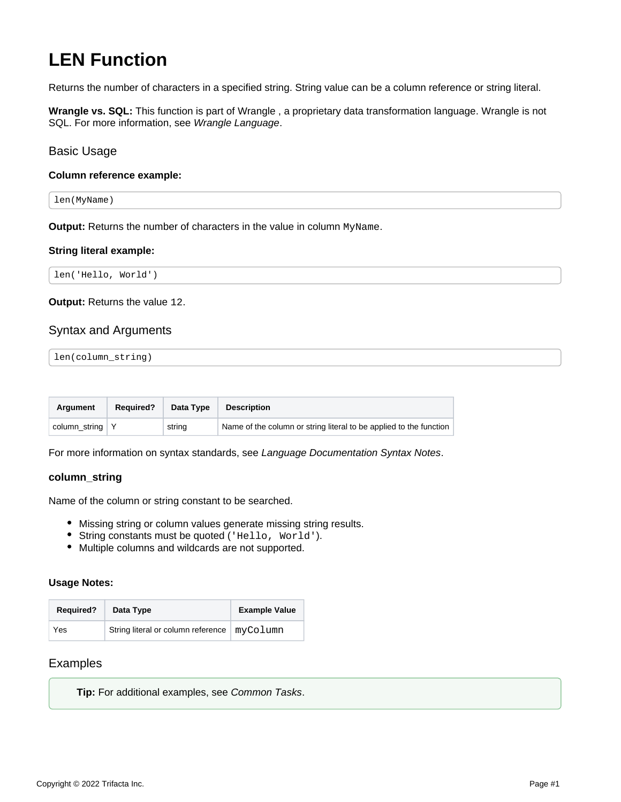# **LEN Function**

Returns the number of characters in a specified string. String value can be a column reference or string literal.

**Wrangle vs. SQL:** This function is part of Wrangle , a proprietary data transformation language. Wrangle is not SQL. For more information, see [Wrangle Language](https://docs.trifacta.com/display/r082/Wrangle+Language).

# Basic Usage

## **Column reference example:**

len(MyName)

**Output:** Returns the number of characters in the value in column MyName.

#### **String literal example:**

len('Hello, World')

**Output:** Returns the value 12.

# Syntax and Arguments

len(column\_string)

| Araument                | <b>Required?</b> | Data Type | <b>Description</b>                                                 |
|-------------------------|------------------|-----------|--------------------------------------------------------------------|
| column string $\vert$ Y |                  | string    | Name of the column or string literal to be applied to the function |

For more information on syntax standards, see [Language Documentation Syntax Notes](https://docs.trifacta.com/display/r082/Language+Documentation+Syntax+Notes).

## **column\_string**

Name of the column or string constant to be searched.

- Missing string or column values generate missing string results.
- String constants must be quoted ('Hello, World').
- Multiple columns and wildcards are not supported.

#### **Usage Notes:**

| <b>Required?</b> | Data Type                                     | <b>Example Value</b> |
|------------------|-----------------------------------------------|----------------------|
| Yes              | String literal or column reference   myColumn |                      |

# Examples

**Tip:** For additional examples, see [Common Tasks](https://docs.trifacta.com/display/r082/Common+Tasks).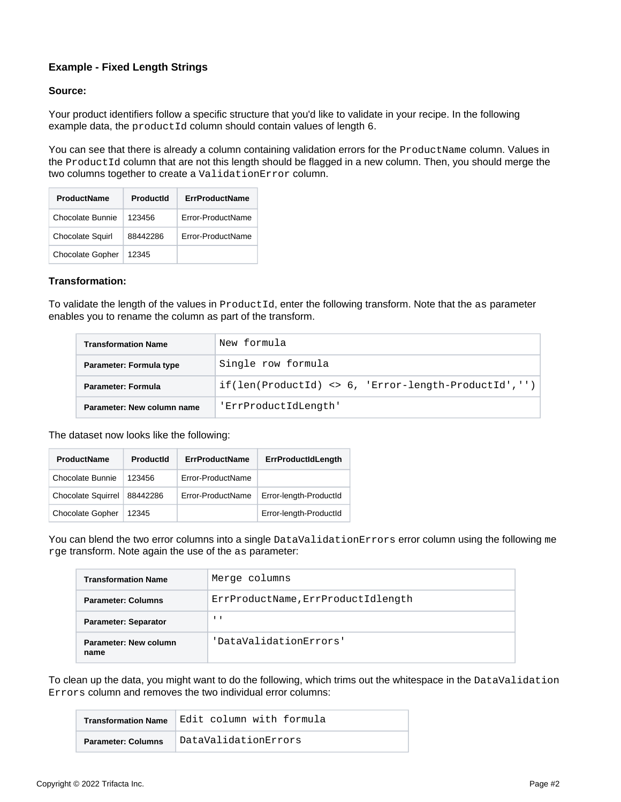# **Example - Fixed Length Strings**

## **Source:**

Your product identifiers follow a specific structure that you'd like to validate in your recipe. In the following example data, the productId column should contain values of length 6.

You can see that there is already a column containing validation errors for the ProductName column. Values in the ProductId column that are not this length should be flagged in a new column. Then, you should merge the two columns together to create a ValidationError column.

| <b>ProductName</b>      | Productid | <b>ErrProductName</b> |
|-------------------------|-----------|-----------------------|
| Chocolate Bunnie        | 123456    | Frror-ProductName     |
| <b>Chocolate Squirl</b> | 88442286  | Frror-ProductName     |
| <b>Chocolate Gopher</b> | 12345     |                       |

## **Transformation:**

To validate the length of the values in ProductId, enter the following transform. Note that the as parameter enables you to rename the column as part of the transform.

| <b>Transformation Name</b> | New formula                                                           |  |  |
|----------------------------|-----------------------------------------------------------------------|--|--|
| Parameter: Formula type    | Single row formula                                                    |  |  |
| <b>Parameter: Formula</b>  | $if(len(Produced) \Leftrightarrow 6, 'Error-length-ProductId', '') )$ |  |  |
| Parameter: New column name | 'ErrProductIdLength'                                                  |  |  |

The dataset now looks like the following:

| <b>ProductName</b>        | <b>Productid</b> | <b>ErrProductName</b> | <b>ErrProductIdLength</b> |
|---------------------------|------------------|-----------------------|---------------------------|
| <b>Chocolate Bunnie</b>   | 123456           | Error-ProductName     |                           |
| <b>Chocolate Squirrel</b> | 88442286         | Error-ProductName     | Error-length-ProductId    |
| <b>Chocolate Gopher</b>   | 12345            |                       | Error-length-ProductId    |

You can blend the two error columns into a single DataValidationErrors error column using the following me rge transform. Note again the use of the as parameter:

| <b>Transformation Name</b>                              | Merge columns                      |  |
|---------------------------------------------------------|------------------------------------|--|
| <b>Parameter: Columns</b>                               | ErrProductName, ErrProductIdlength |  |
| <b>Parameter: Separator</b>                             | $\blacksquare$                     |  |
| 'DataValidationErrors'<br>Parameter: New column<br>name |                                    |  |

To clean up the data, you might want to do the following, which trims out the whitespace in the DataValidation Errors column and removes the two individual error columns:

|                           | Transformation Name Edit column with formula |
|---------------------------|----------------------------------------------|
| <b>Parameter: Columns</b> | DataValidationErrors                         |